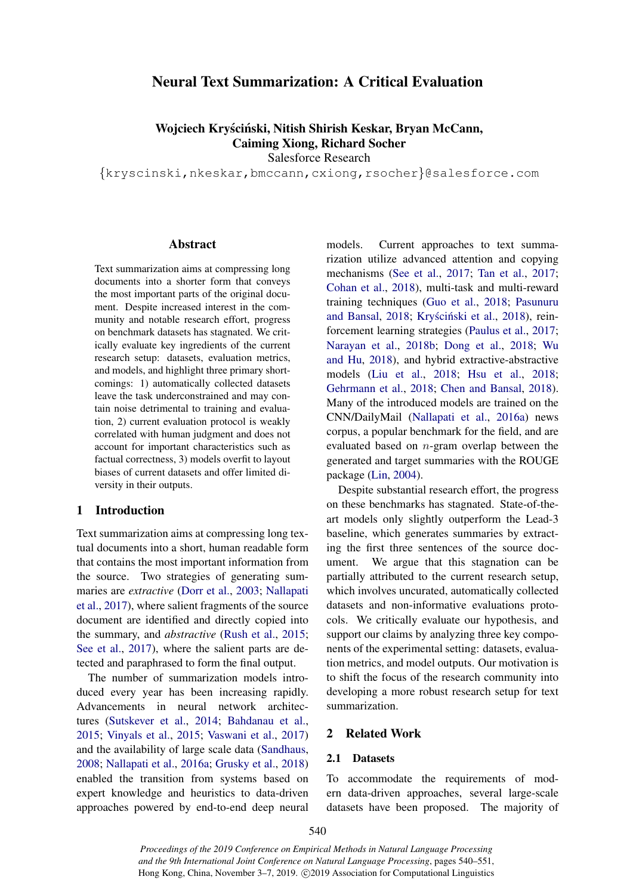# Neural Text Summarization: A Critical Evaluation

Wojciech Kryściński, Nitish Shirish Keskar, Bryan McCann, Caiming Xiong, Richard Socher

<span id="page-0-1"></span>Salesforce Research

*{*kryscinski,nkeskar,bmccann,cxiong,rsocher*}*@salesforce.com

#### Abstract

<span id="page-0-0"></span>Text summarization aims at compressing long documents into a shorter form that conveys the most important parts of the original document. Despite increased interest in the community and notable research effort, progress on benchmark datasets has stagnated. We critically evaluate key ingredients of the current research setup: datasets, evaluation metrics, and models, and highlight three primary shortcomings: 1) automatically collected datasets leave the task underconstrained and may contain noise detrimental to training and evaluation, 2) current evaluation protocol is weakly correlated with human judgment and does not account for important characteristics such as factual correctness, 3) models overfit to layout biases of current datasets and offer limited diversity in their outputs.

## <span id="page-0-2"></span>1 Introduction

Text summarization aims at compressing long textual documents into a short, human readable form that contains the most important information from the source. Two strategies of generating summaries are *extractive* [\(Dorr et al.,](#page-8-0) [2003;](#page-8-0) [Nallapati](#page-9-0) [et al.,](#page-9-0) [2017\)](#page-9-0), where salient fragments of the source document are identified and directly copied into the summary, and *abstractive* [\(Rush et al.,](#page-10-0) [2015;](#page-10-0) [See et al.,](#page-10-1) [2017\)](#page-10-1), where the salient parts are detected and paraphrased to form the final output.

The number of summarization models introduced every year has been increasing rapidly. Advancements in neural network architectures [\(Sutskever et al.,](#page-10-2) [2014;](#page-10-2) [Bahdanau et al.,](#page-8-1) [2015;](#page-8-1) [Vinyals et al.,](#page-11-0) [2015;](#page-11-0) [Vaswani et al.,](#page-11-1) [2017\)](#page-11-1) and the availability of large scale data [\(Sandhaus,](#page-10-3) [2008;](#page-10-3) [Nallapati et al.,](#page-9-1) [2016a;](#page-9-1) [Grusky et al.,](#page-8-2) [2018\)](#page-8-2) enabled the transition from systems based on expert knowledge and heuristics to data-driven approaches powered by end-to-end deep neural models. Current approaches to text summarization utilize advanced attention and copying mechanisms [\(See et al.,](#page-10-1) [2017;](#page-10-1) [Tan et al.,](#page-10-4) [2017;](#page-10-4) [Cohan et al.,](#page-8-3) [2018\)](#page-8-3), multi-task and multi-reward training techniques [\(Guo et al.,](#page-8-4) [2018;](#page-8-4) [Pasunuru](#page-10-5) [and Bansal,](#page-10-5) [2018;](#page-10-5) Kryściński et al., [2018\)](#page-9-2), reinforcement learning strategies [\(Paulus et al.,](#page-10-6) [2017;](#page-10-6) [Narayan et al.,](#page-9-3) [2018b;](#page-9-3) [Dong et al.,](#page-8-5) [2018;](#page-8-5) [Wu](#page-11-2) [and Hu,](#page-11-2) [2018\)](#page-11-2), and hybrid extractive-abstractive models [\(Liu et al.,](#page-9-4) [2018;](#page-9-4) [Hsu et al.,](#page-9-5) [2018;](#page-9-5) [Gehrmann et al.,](#page-8-6) [2018;](#page-8-6) [Chen and Bansal,](#page-8-7) [2018\)](#page-8-7). Many of the introduced models are trained on the CNN/DailyMail [\(Nallapati et al.,](#page-9-1) [2016a\)](#page-9-1) news corpus, a popular benchmark for the field, and are evaluated based on *n*-gram overlap between the generated and target summaries with the ROUGE package [\(Lin,](#page-9-6) [2004\)](#page-9-6).

Despite substantial research effort, the progress on these benchmarks has stagnated. State-of-theart models only slightly outperform the Lead-3 baseline, which generates summaries by extracting the first three sentences of the source document. We argue that this stagnation can be partially attributed to the current research setup, which involves uncurated, automatically collected datasets and non-informative evaluations protocols. We critically evaluate our hypothesis, and support our claims by analyzing three key components of the experimental setting: datasets, evaluation metrics, and model outputs. Our motivation is to shift the focus of the research community into developing a more robust research setup for text summarization.

#### 2 Related Work

#### 2.1 Datasets

To accommodate the requirements of modern data-driven approaches, several large-scale datasets have been proposed. The majority of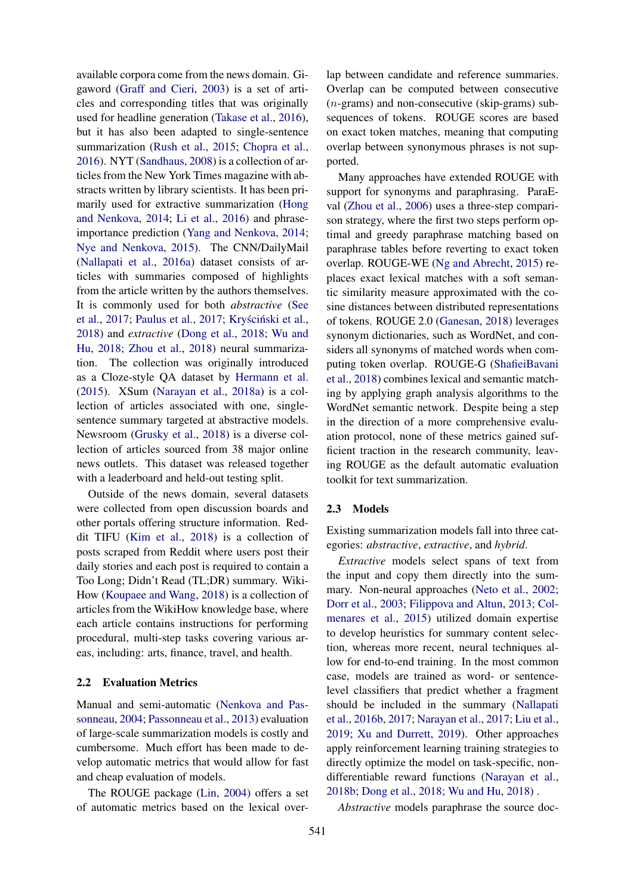available corpora come from the news domain. Gigaword [\(Graff and Cieri,](#page-8-8) [2003\)](#page-8-8) is a set of articles and corresponding titles that was originally used for headline generation [\(Takase et al.,](#page-10-7) [2016\)](#page-10-7), but it has also been adapted to single-sentence summarization [\(Rush et al.,](#page-10-0) [2015;](#page-10-0) [Chopra et al.,](#page-8-9) [2016\)](#page-8-9). NYT [\(Sandhaus,](#page-10-3) [2008\)](#page-10-3) is a collection of articles from the New York Times magazine with abstracts written by library scientists. It has been primarily used for extractive summarization [\(Hong](#page-9-7) [and Nenkova,](#page-9-7) [2014;](#page-9-7) [Li et al.,](#page-9-8) [2016\)](#page-9-8) and phraseimportance prediction [\(Yang and Nenkova,](#page-11-3) [2014;](#page-11-3) [Nye and Nenkova,](#page-10-8) [2015\)](#page-10-8). The CNN/DailyMail [\(Nallapati et al.,](#page-9-1) [2016a\)](#page-9-1) dataset consists of articles with summaries composed of highlights from the article written by the authors themselves. It is commonly used for both *abstractive* [\(See](#page-10-1) [et al.,](#page-10-1) [2017;](#page-10-6) [Paulus et al.,](#page-10-6) 2017; Kryściński et al., [2018\)](#page-9-2) and *extractive* [\(Dong et al.,](#page-8-5) [2018;](#page-8-5) [Wu and](#page-11-2) [Hu,](#page-11-2) [2018;](#page-11-2) [Zhou et al.,](#page-11-4) [2018\)](#page-11-4) neural summarization. The collection was originally introduced as a Cloze-style QA dataset by [Hermann et al.](#page-9-9) [\(2015\)](#page-9-9). XSum [\(Narayan et al.,](#page-9-10) [2018a\)](#page-9-10) is a collection of articles associated with one, singlesentence summary targeted at abstractive models. Newsroom [\(Grusky et al.,](#page-8-2) [2018\)](#page-8-2) is a diverse collection of articles sourced from 38 major online news outlets. This dataset was released together with a leaderboard and held-out testing split.

Outside of the news domain, several datasets were collected from open discussion boards and other portals offering structure information. Reddit TIFU [\(Kim et al.,](#page-9-11) [2018\)](#page-9-11) is a collection of posts scraped from Reddit where users post their daily stories and each post is required to contain a Too Long; Didn't Read (TL;DR) summary. Wiki-How [\(Koupaee and Wang,](#page-9-12) [2018\)](#page-9-12) is a collection of articles from the WikiHow knowledge base, where each article contains instructions for performing procedural, multi-step tasks covering various areas, including: arts, finance, travel, and health.

## 2.2 Evaluation Metrics

Manual and semi-automatic [\(Nenkova and Pas](#page-9-13)[sonneau,](#page-9-13) [2004;](#page-9-13) [Passonneau et al.,](#page-10-9) [2013\)](#page-10-9) evaluation of large-scale summarization models is costly and cumbersome. Much effort has been made to develop automatic metrics that would allow for fast and cheap evaluation of models.

The ROUGE package [\(Lin,](#page-9-6) [2004\)](#page-9-6) offers a set of automatic metrics based on the lexical over-

lap between candidate and reference summaries. Overlap can be computed between consecutive (*n*-grams) and non-consecutive (skip-grams) subsequences of tokens. ROUGE scores are based on exact token matches, meaning that computing overlap between synonymous phrases is not supported.

Many approaches have extended ROUGE with support for synonyms and paraphrasing. ParaEval [\(Zhou et al.,](#page-11-5) [2006\)](#page-11-5) uses a three-step comparison strategy, where the first two steps perform optimal and greedy paraphrase matching based on paraphrase tables before reverting to exact token overlap. ROUGE-WE [\(Ng and Abrecht,](#page-10-10) [2015\)](#page-10-10) replaces exact lexical matches with a soft semantic similarity measure approximated with the cosine distances between distributed representations of tokens. ROUGE 2.0 [\(Ganesan,](#page-8-10) [2018\)](#page-8-10) leverages synonym dictionaries, such as WordNet, and considers all synonyms of matched words when computing token overlap. ROUGE-G [\(ShafieiBavani](#page-10-11) [et al.,](#page-10-11) [2018\)](#page-10-11) combines lexical and semantic matching by applying graph analysis algorithms to the WordNet semantic network. Despite being a step in the direction of a more comprehensive evaluation protocol, none of these metrics gained sufficient traction in the research community, leaving ROUGE as the default automatic evaluation toolkit for text summarization.

#### 2.3 Models

Existing summarization models fall into three categories: *abstractive*, *extractive*, and *hybrid*.

*Extractive* models select spans of text from the input and copy them directly into the summary. Non-neural approaches [\(Neto et al.,](#page-10-12) [2002;](#page-10-12) [Dorr et al.,](#page-8-0) [2003;](#page-8-0) [Filippova and Altun,](#page-8-11) [2013;](#page-8-11) [Col](#page-8-12)[menares et al.,](#page-8-12) [2015\)](#page-8-12) utilized domain expertise to develop heuristics for summary content selection, whereas more recent, neural techniques allow for end-to-end training. In the most common case, models are trained as word- or sentencelevel classifiers that predict whether a fragment should be included in the summary [\(Nallapati](#page-9-14) [et al.,](#page-9-14) [2016b,](#page-9-14) [2017;](#page-9-0) [Narayan et al.,](#page-9-15) [2017;](#page-9-15) [Liu et al.,](#page-9-16) [2019;](#page-9-16) [Xu and Durrett,](#page-11-6) [2019\)](#page-11-6). Other approaches apply reinforcement learning training strategies to directly optimize the model on task-specific, nondifferentiable reward functions [\(Narayan et al.,](#page-9-3) [2018b;](#page-9-3) [Dong et al.,](#page-8-5) [2018;](#page-8-5) [Wu and Hu,](#page-11-2) [2018\)](#page-11-2) .

*Abstractive* models paraphrase the source doc-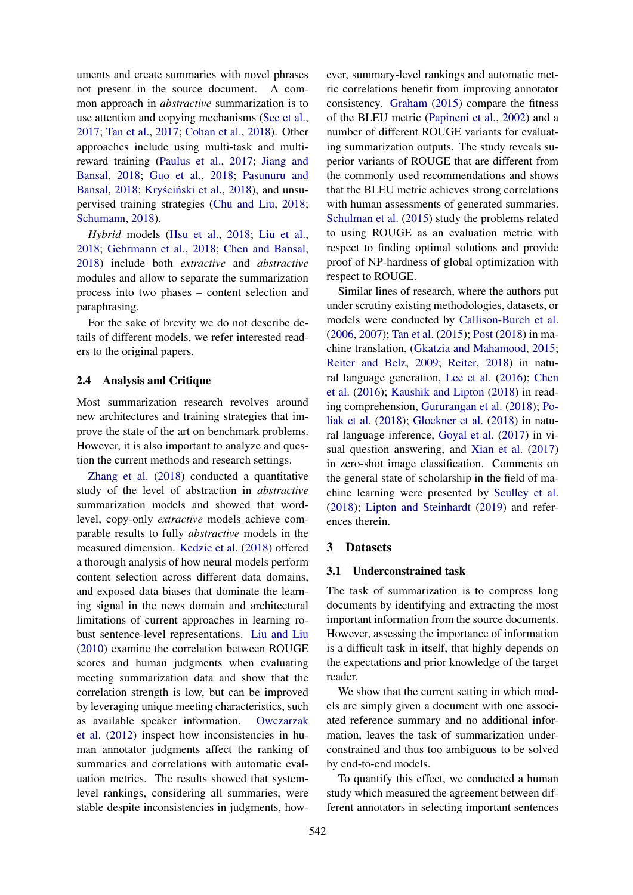uments and create summaries with novel phrases not present in the source document. A common approach in *abstractive* summarization is to use attention and copying mechanisms [\(See et al.,](#page-10-1) [2017;](#page-10-1) [Tan et al.,](#page-10-4) [2017;](#page-10-4) [Cohan et al.,](#page-8-3) [2018\)](#page-8-3). Other approaches include using multi-task and multireward training [\(Paulus et al.,](#page-10-6) [2017;](#page-10-6) [Jiang and](#page-9-17) [Bansal,](#page-9-17) [2018;](#page-9-17) [Guo et al.,](#page-8-4) [2018;](#page-8-4) [Pasunuru and](#page-10-5) [Bansal,](#page-10-5) [2018;](#page-10-5) Kryściński et al., [2018\)](#page-9-2), and unsupervised training strategies [\(Chu and Liu,](#page-8-13) [2018;](#page-8-13) [Schumann,](#page-10-13) [2018\)](#page-10-13).

*Hybrid* models [\(Hsu et al.,](#page-9-5) [2018;](#page-9-5) [Liu et al.,](#page-9-4) [2018;](#page-9-4) [Gehrmann et al.,](#page-8-6) [2018;](#page-8-6) [Chen and Bansal,](#page-8-7) [2018\)](#page-8-7) include both *extractive* and *abstractive* modules and allow to separate the summarization process into two phases – content selection and paraphrasing.

For the sake of brevity we do not describe details of different models, we refer interested readers to the original papers.

## 2.4 Analysis and Critique

Most summarization research revolves around new architectures and training strategies that improve the state of the art on benchmark problems. However, it is also important to analyze and question the current methods and research settings.

[Zhang et al.](#page-11-7) [\(2018\)](#page-11-7) conducted a quantitative study of the level of abstraction in *abstractive* summarization models and showed that wordlevel, copy-only *extractive* models achieve comparable results to fully *abstractive* models in the measured dimension. [Kedzie et al.](#page-9-18) [\(2018\)](#page-9-18) offered a thorough analysis of how neural models perform content selection across different data domains, and exposed data biases that dominate the learning signal in the news domain and architectural limitations of current approaches in learning robust sentence-level representations. [Liu and Liu](#page-9-19) [\(2010\)](#page-9-19) examine the correlation between ROUGE scores and human judgments when evaluating meeting summarization data and show that the correlation strength is low, but can be improved by leveraging unique meeting characteristics, such as available speaker information. [Owczarzak](#page-10-14) [et al.](#page-10-14) [\(2012\)](#page-10-14) inspect how inconsistencies in human annotator judgments affect the ranking of summaries and correlations with automatic evaluation metrics. The results showed that systemlevel rankings, considering all summaries, were stable despite inconsistencies in judgments, however, summary-level rankings and automatic metric correlations benefit from improving annotator consistency. [Graham](#page-8-14) [\(2015\)](#page-8-14) compare the fitness of the BLEU metric [\(Papineni et al.,](#page-10-15) [2002\)](#page-10-15) and a number of different ROUGE variants for evaluating summarization outputs. The study reveals superior variants of ROUGE that are different from the commonly used recommendations and shows that the BLEU metric achieves strong correlations with human assessments of generated summaries. [Schulman et al.](#page-10-16) [\(2015\)](#page-10-16) study the problems related to using ROUGE as an evaluation metric with respect to finding optimal solutions and provide proof of NP-hardness of global optimization with respect to ROUGE.

Similar lines of research, where the authors put under scrutiny existing methodologies, datasets, or models were conducted by [Callison-Burch et al.](#page-8-15) [\(2006,](#page-8-15) [2007\)](#page-8-16); [Tan et al.](#page-10-17) [\(2015\)](#page-10-17); [Post](#page-10-18) [\(2018\)](#page-10-18) in machine translation, [\(Gkatzia and Mahamood,](#page-8-17) [2015;](#page-8-17) [Reiter and Belz,](#page-10-19) [2009;](#page-10-19) [Reiter,](#page-10-20) [2018\)](#page-10-20) in natural language generation, [Lee et al.](#page-9-20) [\(2016\)](#page-9-20); [Chen](#page-8-18) [et al.](#page-8-18) [\(2016\)](#page-8-18); [Kaushik and Lipton](#page-9-21) [\(2018\)](#page-9-21) in reading comprehension, [Gururangan et al.](#page-8-19) [\(2018\)](#page-8-19); [Po](#page-10-21)[liak et al.](#page-10-21) [\(2018\)](#page-10-21); [Glockner et al.](#page-8-20) [\(2018\)](#page-8-20) in natural language inference, [Goyal et al.](#page-8-21) [\(2017\)](#page-8-21) in visual question answering, and [Xian et al.](#page-11-8) [\(2017\)](#page-11-8) in zero-shot image classification. Comments on the general state of scholarship in the field of machine learning were presented by [Sculley et al.](#page-10-22) [\(2018\)](#page-10-22); [Lipton and Steinhardt](#page-9-22) [\(2019\)](#page-9-22) and references therein.

## 3 Datasets

### 3.1 Underconstrained task

The task of summarization is to compress long documents by identifying and extracting the most important information from the source documents. However, assessing the importance of information is a difficult task in itself, that highly depends on the expectations and prior knowledge of the target reader.

We show that the current setting in which models are simply given a document with one associated reference summary and no additional information, leaves the task of summarization underconstrained and thus too ambiguous to be solved by end-to-end models.

To quantify this effect, we conducted a human study which measured the agreement between different annotators in selecting important sentences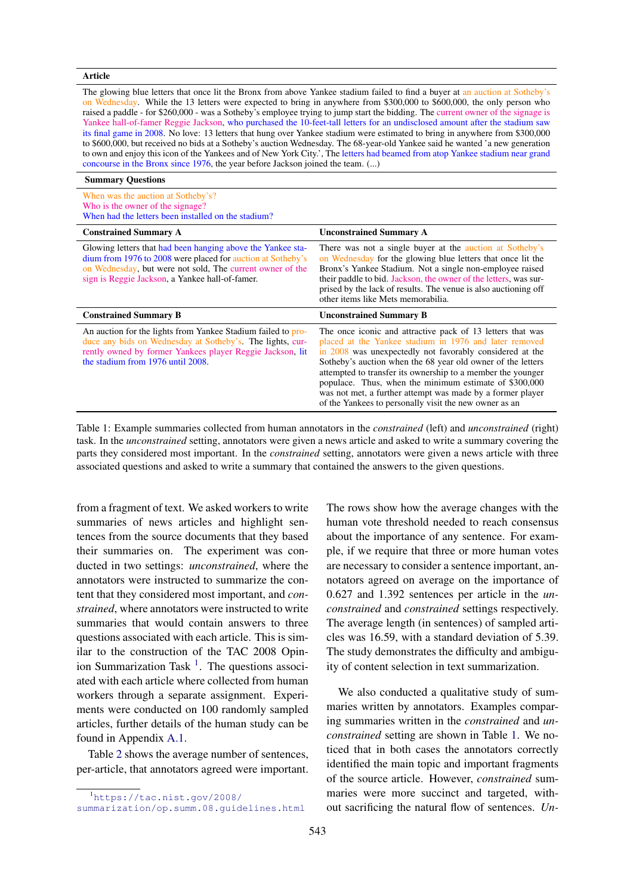| The glowing blue letters that once lit the Bronx from above Yankee stadium failed to find a buyer at an auction at Sotheby's<br>on Wednesday. While the 13 letters were expected to bring in anywhere from \$300,000 to \$600,000, the only person who<br>raised a paddle - for \$260,000 - was a Sotheby's employee trying to jump start the bidding. The current owner of the signage is<br>Yankee hall-of-famer Reggie Jackson, who purchased the 10-feet-tall letters for an undisclosed amount after the stadium saw<br>its final game in 2008. No love: 13 letters that hung over Yankee stadium were estimated to bring in anywhere from \$300,000<br>to \$600,000, but received no bids at a Sotheby's auction Wednesday. The 68-year-old Yankee said he wanted 'a new generation<br>to own and enjoy this icon of the Yankees and of New York City.', The letters had beamed from atop Yankee stadium near grand<br>concourse in the Bronx since 1976, the year before Jackson joined the team. () |                                                                                                                                                                                                                                                                                                                                                                 |  |  |  |  |  |  |  |
|-------------------------------------------------------------------------------------------------------------------------------------------------------------------------------------------------------------------------------------------------------------------------------------------------------------------------------------------------------------------------------------------------------------------------------------------------------------------------------------------------------------------------------------------------------------------------------------------------------------------------------------------------------------------------------------------------------------------------------------------------------------------------------------------------------------------------------------------------------------------------------------------------------------------------------------------------------------------------------------------------------------|-----------------------------------------------------------------------------------------------------------------------------------------------------------------------------------------------------------------------------------------------------------------------------------------------------------------------------------------------------------------|--|--|--|--|--|--|--|
| <b>Summary Questions</b>                                                                                                                                                                                                                                                                                                                                                                                                                                                                                                                                                                                                                                                                                                                                                                                                                                                                                                                                                                                    |                                                                                                                                                                                                                                                                                                                                                                 |  |  |  |  |  |  |  |
| When was the auction at Sotheby's?<br>Who is the owner of the signage?<br>When had the letters been installed on the stadium?                                                                                                                                                                                                                                                                                                                                                                                                                                                                                                                                                                                                                                                                                                                                                                                                                                                                               |                                                                                                                                                                                                                                                                                                                                                                 |  |  |  |  |  |  |  |
| <b>Constrained Summary A</b>                                                                                                                                                                                                                                                                                                                                                                                                                                                                                                                                                                                                                                                                                                                                                                                                                                                                                                                                                                                | <b>Unconstrained Summary A</b>                                                                                                                                                                                                                                                                                                                                  |  |  |  |  |  |  |  |
| Glowing letters that had been hanging above the Yankee sta-<br>dium from 1976 to 2008 were placed for auction at Sotheby's<br>on Wednesday, but were not sold, The current owner of the<br>sign is Reggie Jackson, a Yankee hall-of-famer.                                                                                                                                                                                                                                                                                                                                                                                                                                                                                                                                                                                                                                                                                                                                                                  | There was not a single buyer at the auction at Sotheby's<br>on Wednesday for the glowing blue letters that once lit the<br>Bronx's Yankee Stadium. Not a single non-employee raised<br>their paddle to bid. Jackson, the owner of the letters, was sur-<br>prised by the lack of results. The venue is also auctioning off<br>other items like Mets memorabilia |  |  |  |  |  |  |  |

| <b>Constrained Summary B</b>                                                                                                                                                                                                | <b>Unconstrained Summary B</b>                                                                                                                                                                                                                                                                                                                                                                                                                                                                   |
|-----------------------------------------------------------------------------------------------------------------------------------------------------------------------------------------------------------------------------|--------------------------------------------------------------------------------------------------------------------------------------------------------------------------------------------------------------------------------------------------------------------------------------------------------------------------------------------------------------------------------------------------------------------------------------------------------------------------------------------------|
| An auction for the lights from Yankee Stadium failed to pro-<br>duce any bids on Wednesday at Sotheby's. The lights, cur-<br>rently owned by former Yankees player Reggie Jackson, lit<br>the stadium from 1976 until 2008. | The once iconic and attractive pack of 13 letters that was<br>placed at the Yankee stadium in 1976 and later removed<br>in 2008 was unexpectedly not favorably considered at the<br>Sotheby's auction when the 68 year old owner of the letters<br>attempted to transfer its ownership to a member the younger<br>populace. Thus, when the minimum estimate of \$300,000<br>was not met, a further attempt was made by a former player<br>of the Yankees to personally visit the new owner as an |

Table 1: Example summaries collected from human annotators in the *constrained* (left) and *unconstrained* (right) task. In the *unconstrained* setting, annotators were given a news article and asked to write a summary covering the parts they considered most important. In the *constrained* setting, annotators were given a news article with three associated questions and asked to write a summary that contained the answers to the given questions.

from a fragment of text. We asked workers to write summaries of news articles and highlight sentences from the source documents that they based their summaries on. The experiment was conducted in two settings: *unconstrained*, where the annotators were instructed to summarize the content that they considered most important, and *constrained*, where annotators were instructed to write summaries that would contain answers to three questions associated with each article. This is similar to the construction of the TAC 2008 Opinion Summarization Task  $<sup>1</sup>$ . The questions associ-</sup> ated with each article where collected from human workers through a separate assignment. Experiments were conducted on 100 randomly sampled articles, further details of the human study can be found in Appendix [A.1.](#page-0-0)

Table [2](#page-4-0) shows the average number of sentences, per-article, that annotators agreed were important.

<span id="page-3-1"></span>Article

The rows show how the average changes with the human vote threshold needed to reach consensus about the importance of any sentence. For example, if we require that three or more human votes are necessary to consider a sentence important, annotators agreed on average on the importance of 0.627 and 1.392 sentences per article in the *unconstrained* and *constrained* settings respectively. The average length (in sentences) of sampled articles was 16.59, with a standard deviation of 5.39. The study demonstrates the difficulty and ambiguity of content selection in text summarization.

We also conducted a qualitative study of summaries written by annotators. Examples comparing summaries written in the *constrained* and *unconstrained* setting are shown in Table [1.](#page-3-1) We noticed that in both cases the annotators correctly identified the main topic and important fragments of the source article. However, *constrained* summaries were more succinct and targeted, without sacrificing the natural flow of sentences. *Un-*

<span id="page-3-0"></span><sup>1</sup> [https://tac.nist.gov/2008/](https://tac.nist.gov/2008/summarization/op.summ.08.guidelines.html)

[summarization/op.summ.08.guidelines.html](https://tac.nist.gov/2008/summarization/op.summ.08.guidelines.html)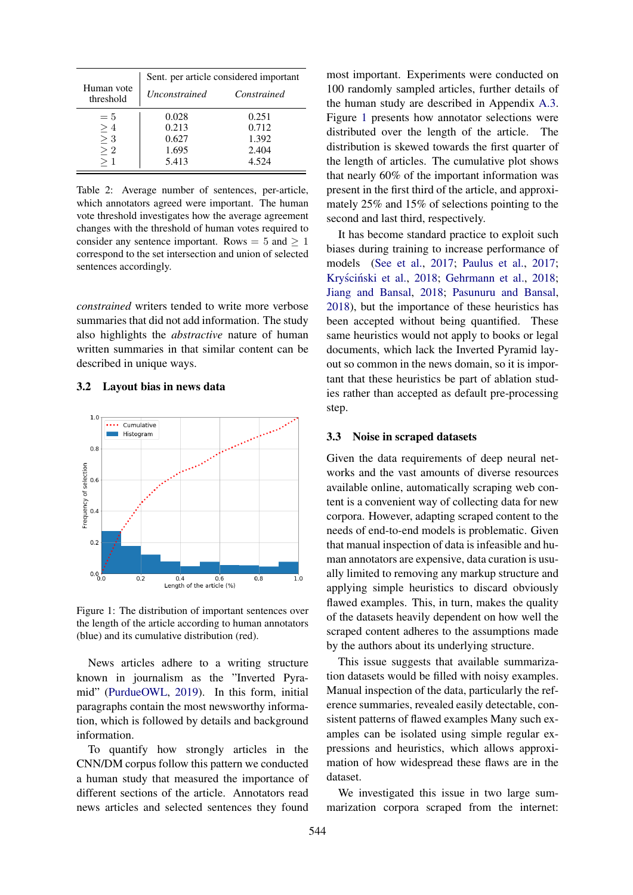<span id="page-4-0"></span>

|                         | Sent. per article considered important |             |  |  |  |  |  |  |
|-------------------------|----------------------------------------|-------------|--|--|--|--|--|--|
| Human vote<br>threshold | <i>Unconstrained</i>                   | Constrained |  |  |  |  |  |  |
| $=5$                    | 0.028                                  | 0.251       |  |  |  |  |  |  |
| $\geq 4$                | 0.213                                  | 0.712       |  |  |  |  |  |  |
| $\geq 3$                | 0.627                                  | 1.392       |  |  |  |  |  |  |
| $\geq 2$                | 1.695                                  | 2.404       |  |  |  |  |  |  |
|                         | 5.413                                  | 4.524       |  |  |  |  |  |  |

Table 2: Average number of sentences, per-article, which annotators agreed were important. The human vote threshold investigates how the average agreement changes with the threshold of human votes required to consider any sentence important. Rows  $= 5$  and  $> 1$ correspond to the set intersection and union of selected sentences accordingly.

*constrained* writers tended to write more verbose summaries that did not add information. The study also highlights the *abstractive* nature of human written summaries in that similar content can be described in unique ways.

#### 3.2 Layout bias in news data

<span id="page-4-1"></span>

Figure 1: The distribution of important sentences over the length of the article according to human annotators (blue) and its cumulative distribution (red).

News articles adhere to a writing structure known in journalism as the "Inverted Pyramid" [\(PurdueOWL,](#page-10-23) [2019\)](#page-10-23). In this form, initial paragraphs contain the most newsworthy information, which is followed by details and background information.

To quantify how strongly articles in the CNN/DM corpus follow this pattern we conducted a human study that measured the importance of different sections of the article. Annotators read news articles and selected sentences they found

most important. Experiments were conducted on 100 randomly sampled articles, further details of the human study are described in Appendix [A.3.](#page-0-1) Figure [1](#page-4-1) presents how annotator selections were distributed over the length of the article. The distribution is skewed towards the first quarter of the length of articles. The cumulative plot shows that nearly 60% of the important information was present in the first third of the article, and approximately 25% and 15% of selections pointing to the second and last third, respectively.

It has become standard practice to exploit such biases during training to increase performance of models [\(See et al.,](#page-10-1) [2017;](#page-10-1) [Paulus et al.,](#page-10-6) [2017;](#page-10-6) Kryściński et al., [2018;](#page-8-6) [Gehrmann et al.,](#page-8-6) 2018; [Jiang and Bansal,](#page-9-17) [2018;](#page-9-17) [Pasunuru and Bansal,](#page-10-5) [2018\)](#page-10-5), but the importance of these heuristics has been accepted without being quantified. These same heuristics would not apply to books or legal documents, which lack the Inverted Pyramid layout so common in the news domain, so it is important that these heuristics be part of ablation studies rather than accepted as default pre-processing step.

## 3.3 Noise in scraped datasets

Given the data requirements of deep neural networks and the vast amounts of diverse resources available online, automatically scraping web content is a convenient way of collecting data for new corpora. However, adapting scraped content to the needs of end-to-end models is problematic. Given that manual inspection of data is infeasible and human annotators are expensive, data curation is usually limited to removing any markup structure and applying simple heuristics to discard obviously flawed examples. This, in turn, makes the quality of the datasets heavily dependent on how well the scraped content adheres to the assumptions made by the authors about its underlying structure.

This issue suggests that available summarization datasets would be filled with noisy examples. Manual inspection of the data, particularly the reference summaries, revealed easily detectable, consistent patterns of flawed examples Many such examples can be isolated using simple regular expressions and heuristics, which allows approximation of how widespread these flaws are in the dataset.

We investigated this issue in two large summarization corpora scraped from the internet: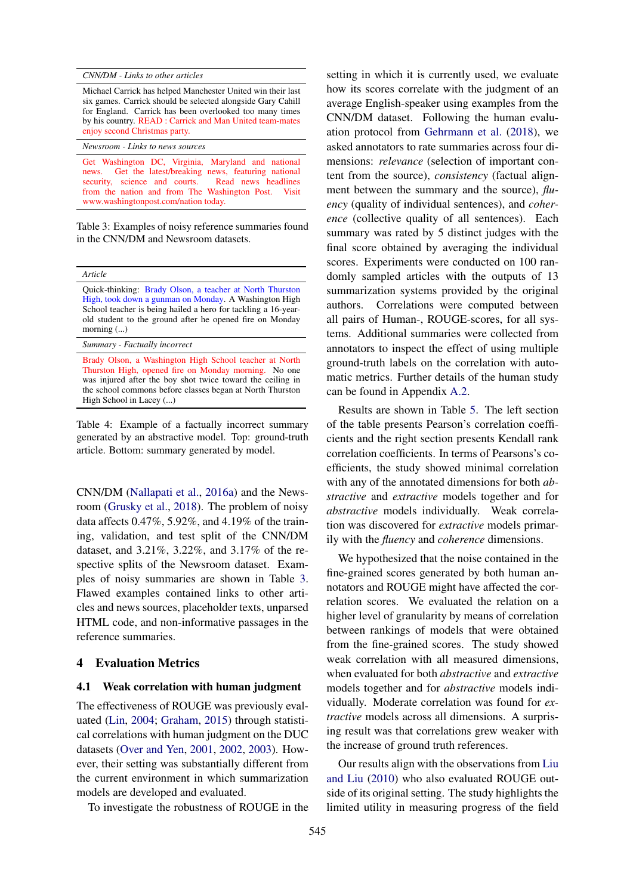<span id="page-5-0"></span>*CNN/DM - Links to other articles*

*Newsroom - Links to news sources*

Michael Carrick has helped Manchester United win their last six games. Carrick should be selected alongside Gary Cahill for England. Carrick has been overlooked too many times by his country. READ : Carrick and Man United team-mates enjoy second Christmas party.

Get Washington DC, Virginia, Maryland and national news. Get the latest/breaking news, featuring national security, science and courts. Read news headlines from the nation and from The Washington Post. Visit www.washingtonpost.com/nation today.

Table 3: Examples of noisy reference summaries found in the CNN/DM and Newsroom datasets.

<span id="page-5-1"></span>

| ruci |  |
|------|--|
|      |  |

Quick-thinking: Brady Olson, a teacher at North Thurston High, took down a gunman on Monday. A Washington High School teacher is being hailed a hero for tackling a 16-yearold student to the ground after he opened fire on Monday morning (...)

*Summary - Factually incorrect*

Brady Olson, a Washington High School teacher at North Thurston High, opened fire on Monday morning. No one was injured after the boy shot twice toward the ceiling in the school commons before classes began at North Thurston High School in Lacey (...)

Table 4: Example of a factually incorrect summary generated by an abstractive model. Top: ground-truth article. Bottom: summary generated by model.

CNN/DM [\(Nallapati et al.,](#page-9-1) [2016a\)](#page-9-1) and the Newsroom [\(Grusky et al.,](#page-8-2) [2018\)](#page-8-2). The problem of noisy data affects 0.47%, 5.92%, and 4.19% of the training, validation, and test split of the CNN/DM dataset, and 3.21%, 3.22%, and 3.17% of the respective splits of the Newsroom dataset. Examples of noisy summaries are shown in Table [3.](#page-5-0) Flawed examples contained links to other articles and news sources, placeholder texts, unparsed HTML code, and non-informative passages in the reference summaries.

## 4 Evaluation Metrics

#### 4.1 Weak correlation with human judgment

The effectiveness of ROUGE was previously evaluated [\(Lin,](#page-9-6) [2004;](#page-9-6) [Graham,](#page-8-14) [2015\)](#page-8-14) through statistical correlations with human judgment on the DUC datasets [\(Over and Yen,](#page-10-24) [2001,](#page-10-24) [2002,](#page-10-25) [2003\)](#page-10-26). However, their setting was substantially different from the current environment in which summarization models are developed and evaluated.

To investigate the robustness of ROUGE in the

setting in which it is currently used, we evaluate how its scores correlate with the judgment of an average English-speaker using examples from the CNN/DM dataset. Following the human evaluation protocol from [Gehrmann et al.](#page-8-6) [\(2018\)](#page-8-6), we asked annotators to rate summaries across four dimensions: *relevance* (selection of important content from the source), *consistency* (factual alignment between the summary and the source), *fluency* (quality of individual sentences), and *coherence* (collective quality of all sentences). Each summary was rated by 5 distinct judges with the final score obtained by averaging the individual scores. Experiments were conducted on 100 randomly sampled articles with the outputs of 13 summarization systems provided by the original authors. Correlations were computed between all pairs of Human-, ROUGE-scores, for all systems. Additional summaries were collected from annotators to inspect the effect of using multiple ground-truth labels on the correlation with automatic metrics. Further details of the human study can be found in Appendix [A.2.](#page-0-2)

Results are shown in Table [5.](#page-6-0) The left section of the table presents Pearson's correlation coefficients and the right section presents Kendall rank correlation coefficients. In terms of Pearsons's coefficients, the study showed minimal correlation with any of the annotated dimensions for both *abstractive* and *extractive* models together and for *abstractive* models individually. Weak correlation was discovered for *extractive* models primarily with the *fluency* and *coherence* dimensions.

We hypothesized that the noise contained in the fine-grained scores generated by both human annotators and ROUGE might have affected the correlation scores. We evaluated the relation on a higher level of granularity by means of correlation between rankings of models that were obtained from the fine-grained scores. The study showed weak correlation with all measured dimensions, when evaluated for both *abstractive* and *extractive* models together and for *abstractive* models individually. Moderate correlation was found for *extractive* models across all dimensions. A surprising result was that correlations grew weaker with the increase of ground truth references.

Our results align with the observations from [Liu](#page-9-19) [and Liu](#page-9-19) [\(2010\)](#page-9-19) who also evaluated ROUGE outside of its original setting. The study highlights the limited utility in measuring progress of the field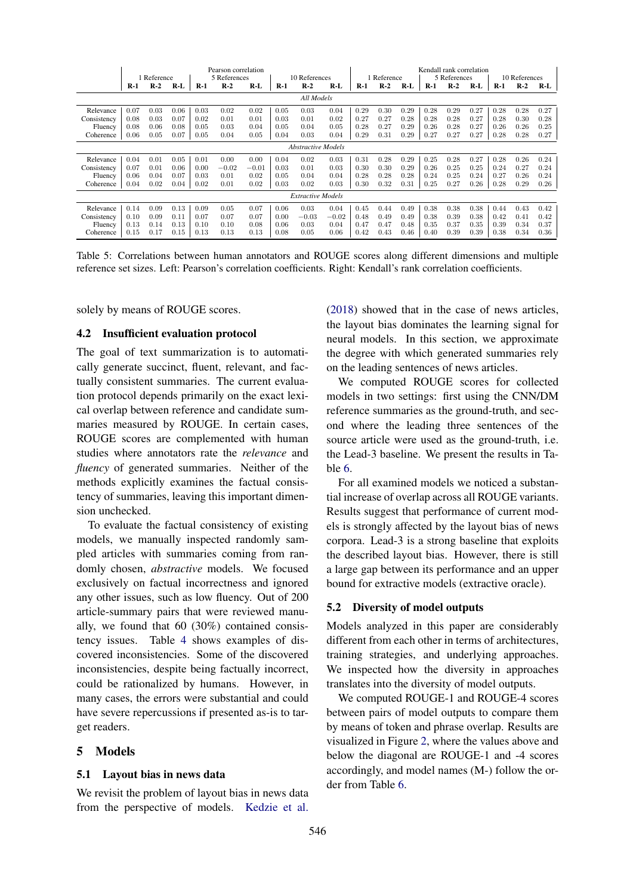<span id="page-6-0"></span>

|                          | Pearson correlation<br>5 References<br>1 Reference<br>10 References |       |       |       |         | Kendall rank correlation<br>5 References<br>Reference |       |         |         |       |       | 10 References |       |       |       |       |       |          |
|--------------------------|---------------------------------------------------------------------|-------|-------|-------|---------|-------------------------------------------------------|-------|---------|---------|-------|-------|---------------|-------|-------|-------|-------|-------|----------|
|                          | $R-1$                                                               | $R-2$ | $R-L$ | $R-1$ | $R-2$   | R-L                                                   | $R-1$ | $R-2$   | R-L     | $R-1$ | $R-2$ | $R-L$         | $R-1$ | $R-2$ | $R-L$ | $R-1$ | $R-2$ | R-L      |
| All Models               |                                                                     |       |       |       |         |                                                       |       |         |         |       |       |               |       |       |       |       |       |          |
| Relevance                | 0.07                                                                | 0.03  | 0.06  | 0.03  | 0.02    | 0.02                                                  | 0.05  | 0.03    | 0.04    | 0.29  | 0.30  | 0.29          | 0.28  | 0.29  | 0.27  | 0.28  | 0.28  | 0.27     |
| Consistency              | 0.08                                                                | 0.03  | 0.07  | 0.02  | 0.01    | 0.01                                                  | 0.03  | 0.01    | 0.02    | 0.27  | 0.27  | 0.28          | 0.28  | 0.28  | 0.27  | 0.28  | 0.30  | 0.28     |
| Fluency                  | 0.08                                                                | 0.06  | 0.08  | 0.05  | 0.03    | 0.04                                                  | 0.05  | 0.04    | 0.05    | 0.28  | 0.27  | 0.29          | 0.26  | 0.28  | 0.27  | 0.26  | 0.26  | 0.25     |
| Coherence                | 0.06                                                                | 0.05  | 0.07  | 0.05  | 0.04    | 0.05                                                  | 0.04  | 0.03    | 0.04    | 0.29  | 0.31  | 0.29          | 0.27  | 0.27  | 0.27  | 0.28  | 0.28  | 0.27     |
|                          | <b>Abstractive Models</b>                                           |       |       |       |         |                                                       |       |         |         |       |       |               |       |       |       |       |       |          |
| Relevance                | 0.04                                                                | 0.01  | 0.05  | 0.01  | 0.00    | 0.00                                                  | 0.04  | 0.02    | 0.03    | 0.31  | 0.28  | 0.29          | 0.25  | 0.28  | 0.27  | 0.28  | 0.26  | 0.24     |
| Consistency              | 0.07                                                                | 0.01  | 0.06  | 0.00  | $-0.02$ | $-0.01$                                               | 0.03  | 0.01    | 0.03    | 0.30  | 0.30  | 0.29          | 0.26  | 0.25  | 0.25  | 0.24  | 0.27  | 0.24     |
| Fluency                  | 0.06                                                                | 0.04  | 0.07  | 0.03  | 0.01    | 0.02                                                  | 0.05  | 0.04    | 0.04    | 0.28  | 0.28  | 0.28          | 0.24  | 0.25  | 0.24  | 0.27  | 0.26  | 0.24     |
| Coherence                | 0.04                                                                | 0.02  | 0.04  | 0.02  | 0.01    | 0.02                                                  | 0.03  | 0.02    | 0.03    | 0.30  | 0.32  | 0.31          | 0.25  | 0.27  | 0.26  | 0.28  | 0.29  | $0.26\,$ |
| <b>Extractive Models</b> |                                                                     |       |       |       |         |                                                       |       |         |         |       |       |               |       |       |       |       |       |          |
| Relevance                | 0.14                                                                | 0.09  | 0.13  | 0.09  | 0.05    | 0.07                                                  | 0.06  | 0.03    | 0.04    | 0.45  | 0.44  | 0.49          | 0.38  | 0.38  | 0.38  | 0.44  | 0.43  | 0.42     |
| Consistency              | 0.10                                                                | 0.09  | 0.11  | 0.07  | 0.07    | 0.07                                                  | 0.00  | $-0.03$ | $-0.02$ | 0.48  | 0.49  | 0.49          | 0.38  | 0.39  | 0.38  | 0.42  | 0.41  | 0.42     |
| Fluency                  | 0.13                                                                | 0.14  | 0.13  | 0.10  | 0.10    | 0.08                                                  | 0.06  | 0.03    | 0.04    | 0.47  | 0.47  | 0.48          | 0.35  | 0.37  | 0.35  | 0.39  | 0.34  | 0.37     |
| Coherence                | 0.15                                                                | 0.17  | 0.15  | 0.13  | 0.13    | 0.13                                                  | 0.08  | 0.05    | 0.06    | 0.42  | 0.43  | 0.46          | 0.40  | 0.39  | 0.39  | 0.38  | 0.34  | $0.36\,$ |

Table 5: Correlations between human annotators and ROUGE scores along different dimensions and multiple reference set sizes. Left: Pearson's correlation coefficients. Right: Kendall's rank correlation coefficients.

solely by means of ROUGE scores.

## 4.2 Insufficient evaluation protocol

The goal of text summarization is to automatically generate succinct, fluent, relevant, and factually consistent summaries. The current evaluation protocol depends primarily on the exact lexical overlap between reference and candidate summaries measured by ROUGE. In certain cases, ROUGE scores are complemented with human studies where annotators rate the *relevance* and *fluency* of generated summaries. Neither of the methods explicitly examines the factual consistency of summaries, leaving this important dimension unchecked.

To evaluate the factual consistency of existing models, we manually inspected randomly sampled articles with summaries coming from randomly chosen, *abstractive* models. We focused exclusively on factual incorrectness and ignored any other issues, such as low fluency. Out of 200 article-summary pairs that were reviewed manually, we found that 60 (30%) contained consistency issues. Table [4](#page-5-1) shows examples of discovered inconsistencies. Some of the discovered inconsistencies, despite being factually incorrect, could be rationalized by humans. However, in many cases, the errors were substantial and could have severe repercussions if presented as-is to target readers.

#### 5 Models

#### 5.1 Layout bias in news data

We revisit the problem of layout bias in news data from the perspective of models. [Kedzie et al.](#page-9-18)

[\(2018\)](#page-9-18) showed that in the case of news articles, the layout bias dominates the learning signal for neural models. In this section, we approximate the degree with which generated summaries rely on the leading sentences of news articles.

We computed ROUGE scores for collected models in two settings: first using the CNN/DM reference summaries as the ground-truth, and second where the leading three sentences of the source article were used as the ground-truth, i.e. the Lead-3 baseline. We present the results in Table [6.](#page-7-0)

For all examined models we noticed a substantial increase of overlap across all ROUGE variants. Results suggest that performance of current models is strongly affected by the layout bias of news corpora. Lead-3 is a strong baseline that exploits the described layout bias. However, there is still a large gap between its performance and an upper bound for extractive models (extractive oracle).

#### 5.2 Diversity of model outputs

Models analyzed in this paper are considerably different from each other in terms of architectures, training strategies, and underlying approaches. We inspected how the diversity in approaches translates into the diversity of model outputs.

We computed ROUGE-1 and ROUGE-4 scores between pairs of model outputs to compare them by means of token and phrase overlap. Results are visualized in Figure [2,](#page-7-1) where the values above and below the diagonal are ROUGE-1 and -4 scores accordingly, and model names (M-) follow the order from Table [6.](#page-7-0)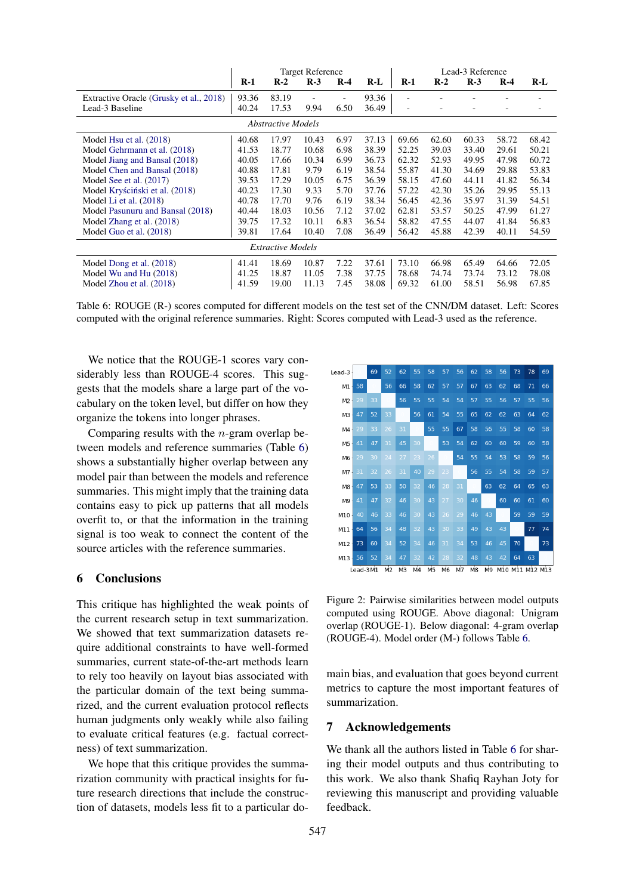<span id="page-7-0"></span>

|                                         | <b>Target Reference</b> |       |       |       |       |                          | Lead-3 Reference |       |       |       |  |  |
|-----------------------------------------|-------------------------|-------|-------|-------|-------|--------------------------|------------------|-------|-------|-------|--|--|
|                                         | $R-1$                   | $R-2$ | $R-3$ | $R-4$ | R-L   | $R-1$                    | $R-2$            | $R-3$ | $R-4$ | $R-L$ |  |  |
| Extractive Oracle (Grusky et al., 2018) | 93.36                   | 83.19 |       |       | 93.36 |                          |                  |       |       |       |  |  |
| Lead-3 Baseline                         | 40.24                   | 17.53 | 9.94  | 6.50  | 36.49 | $\overline{\phantom{a}}$ |                  |       | ٠     |       |  |  |
| <b>Abstractive Models</b>               |                         |       |       |       |       |                          |                  |       |       |       |  |  |
| Model Hsu et al. (2018)                 | 40.68                   | 17.97 | 10.43 | 6.97  | 37.13 | 69.66                    | 62.60            | 60.33 | 58.72 | 68.42 |  |  |
| Model Gehrmann et al. (2018)            | 41.53                   | 18.77 | 10.68 | 6.98  | 38.39 | 52.25                    | 39.03            | 33.40 | 29.61 | 50.21 |  |  |
| Model Jiang and Bansal (2018)           | 40.05                   | 17.66 | 10.34 | 6.99  | 36.73 | 62.32                    | 52.93            | 49.95 | 47.98 | 60.72 |  |  |
| Model Chen and Bansal (2018)            | 40.88                   | 17.81 | 9.79  | 6.19  | 38.54 | 55.87                    | 41.30            | 34.69 | 29.88 | 53.83 |  |  |
| Model See et al. (2017)                 | 39.53                   | 17.29 | 10.05 | 6.75  | 36.39 | 58.15                    | 47.60            | 44.11 | 41.82 | 56.34 |  |  |
| Model Kryściński et al. (2018)          | 40.23                   | 17.30 | 9.33  | 5.70  | 37.76 | 57.22                    | 42.30            | 35.26 | 29.95 | 55.13 |  |  |
| Model Li et al. (2018)                  | 40.78                   | 17.70 | 9.76  | 6.19  | 38.34 | 56.45                    | 42.36            | 35.97 | 31.39 | 54.51 |  |  |
| Model Pasunuru and Bansal (2018)        | 40.44                   | 18.03 | 10.56 | 7.12  | 37.02 | 62.81                    | 53.57            | 50.25 | 47.99 | 61.27 |  |  |
| Model Zhang et al. (2018)               | 39.75                   | 17.32 | 10.11 | 6.83  | 36.54 | 58.82                    | 47.55            | 44.07 | 41.84 | 56.83 |  |  |
| Model Guo et al. (2018)                 | 39.81                   | 17.64 | 10.40 | 7.08  | 36.49 | 56.42                    | 45.88            | 42.39 | 40.11 | 54.59 |  |  |
| <b>Extractive Models</b>                |                         |       |       |       |       |                          |                  |       |       |       |  |  |
| Model Dong et al. (2018)                | 41.41                   | 18.69 | 10.87 | 7.22  | 37.61 | 73.10                    | 66.98            | 65.49 | 64.66 | 72.05 |  |  |
| Model Wu and Hu (2018)                  | 41.25                   | 18.87 | 11.05 | 7.38  | 37.75 | 78.68                    | 74.74            | 73.74 | 73.12 | 78.08 |  |  |
| Model Zhou et al. (2018)                | 41.59                   | 19.00 | 11.13 | 7.45  | 38.08 | 69.32                    | 61.00            | 58.51 | 56.98 | 67.85 |  |  |

Table 6: ROUGE (R-) scores computed for different models on the test set of the CNN/DM dataset. Left: Scores computed with the original reference summaries. Right: Scores computed with Lead-3 used as the reference.

We notice that the ROUGE-1 scores vary considerably less than ROUGE-4 scores. This suggests that the models share a large part of the vocabulary on the token level, but differ on how they organize the tokens into longer phrases.

Comparing results with the *n*-gram overlap between models and reference summaries (Table [6\)](#page-7-0) shows a substantially higher overlap between any model pair than between the models and reference summaries. This might imply that the training data contains easy to pick up patterns that all models overfit to, or that the information in the training signal is too weak to connect the content of the source articles with the reference summaries.

## 6 Conclusions

This critique has highlighted the weak points of the current research setup in text summarization. We showed that text summarization datasets require additional constraints to have well-formed summaries, current state-of-the-art methods learn to rely too heavily on layout bias associated with the particular domain of the text being summarized, and the current evaluation protocol reflects human judgments only weakly while also failing to evaluate critical features (e.g. factual correctness) of text summarization.

We hope that this critique provides the summarization community with practical insights for future research directions that include the construction of datasets, models less fit to a particular do-

<span id="page-7-1"></span>

Figure 2: Pairwise similarities between model outputs computed using ROUGE. Above diagonal: Unigram overlap (ROUGE-1). Below diagonal: 4-gram overlap (ROUGE-4). Model order (M-) follows Table [6.](#page-7-0)

main bias, and evaluation that goes beyond current metrics to capture the most important features of summarization.

## 7 Acknowledgements

We thank all the authors listed in Table [6](#page-7-0) for sharing their model outputs and thus contributing to this work. We also thank Shafiq Rayhan Joty for reviewing this manuscript and providing valuable feedback.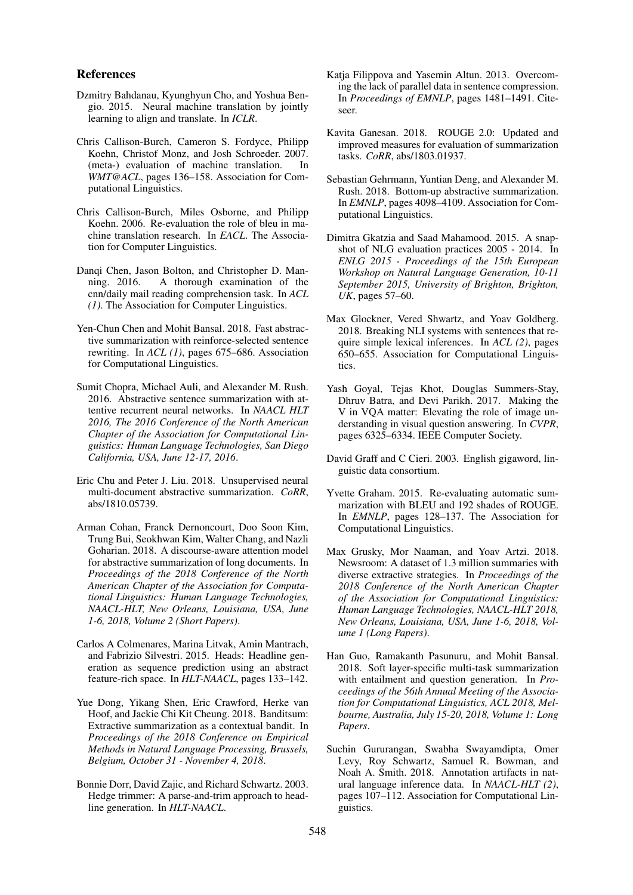## References

- <span id="page-8-1"></span>Dzmitry Bahdanau, Kyunghyun Cho, and Yoshua Bengio. 2015. Neural machine translation by jointly learning to align and translate. In *ICLR*.
- <span id="page-8-16"></span>Chris Callison-Burch, Cameron S. Fordyce, Philipp Koehn, Christof Monz, and Josh Schroeder. 2007. (meta-) evaluation of machine translation. In *WMT@ACL*, pages 136–158. Association for Computational Linguistics.
- <span id="page-8-15"></span>Chris Callison-Burch, Miles Osborne, and Philipp Koehn. 2006. Re-evaluation the role of bleu in machine translation research. In *EACL*. The Association for Computer Linguistics.
- <span id="page-8-18"></span>Danqi Chen, Jason Bolton, and Christopher D. Manning. 2016. A thorough examination of the cnn/daily mail reading comprehension task. In *ACL (1)*. The Association for Computer Linguistics.
- <span id="page-8-7"></span>Yen-Chun Chen and Mohit Bansal. 2018. Fast abstractive summarization with reinforce-selected sentence rewriting. In *ACL (1)*, pages 675–686. Association for Computational Linguistics.
- <span id="page-8-9"></span>Sumit Chopra, Michael Auli, and Alexander M. Rush. 2016. Abstractive sentence summarization with attentive recurrent neural networks. In *NAACL HLT 2016, The 2016 Conference of the North American Chapter of the Association for Computational Linguistics: Human Language Technologies, San Diego California, USA, June 12-17, 2016*.
- <span id="page-8-13"></span>Eric Chu and Peter J. Liu. 2018. Unsupervised neural multi-document abstractive summarization. *CoRR*, abs/1810.05739.
- <span id="page-8-3"></span>Arman Cohan, Franck Dernoncourt, Doo Soon Kim, Trung Bui, Seokhwan Kim, Walter Chang, and Nazli Goharian. 2018. A discourse-aware attention model for abstractive summarization of long documents. In *Proceedings of the 2018 Conference of the North American Chapter of the Association for Computational Linguistics: Human Language Technologies, NAACL-HLT, New Orleans, Louisiana, USA, June 1-6, 2018, Volume 2 (Short Papers)*.
- <span id="page-8-12"></span>Carlos A Colmenares, Marina Litvak, Amin Mantrach, and Fabrizio Silvestri. 2015. Heads: Headline generation as sequence prediction using an abstract feature-rich space. In *HLT-NAACL*, pages 133–142.
- <span id="page-8-5"></span>Yue Dong, Yikang Shen, Eric Crawford, Herke van Hoof, and Jackie Chi Kit Cheung. 2018. Banditsum: Extractive summarization as a contextual bandit. In *Proceedings of the 2018 Conference on Empirical Methods in Natural Language Processing, Brussels, Belgium, October 31 - November 4, 2018*.
- <span id="page-8-0"></span>Bonnie Dorr, David Zajic, and Richard Schwartz. 2003. Hedge trimmer: A parse-and-trim approach to headline generation. In *HLT-NAACL*.
- <span id="page-8-11"></span>Katia Filippova and Yasemin Altun. 2013. Overcoming the lack of parallel data in sentence compression. In *Proceedings of EMNLP*, pages 1481–1491. Citeseer.
- <span id="page-8-10"></span>Kavita Ganesan. 2018. ROUGE 2.0: Updated and improved measures for evaluation of summarization tasks. *CoRR*, abs/1803.01937.
- <span id="page-8-6"></span>Sebastian Gehrmann, Yuntian Deng, and Alexander M. Rush. 2018. Bottom-up abstractive summarization. In *EMNLP*, pages 4098–4109. Association for Computational Linguistics.
- <span id="page-8-17"></span>Dimitra Gkatzia and Saad Mahamood. 2015. A snapshot of NLG evaluation practices 2005 - 2014. In *ENLG 2015 - Proceedings of the 15th European Workshop on Natural Language Generation, 10-11 September 2015, University of Brighton, Brighton, UK*, pages 57–60.
- <span id="page-8-20"></span>Max Glockner, Vered Shwartz, and Yoav Goldberg. 2018. Breaking NLI systems with sentences that require simple lexical inferences. In *ACL (2)*, pages 650–655. Association for Computational Linguistics.
- <span id="page-8-21"></span>Yash Goyal, Tejas Khot, Douglas Summers-Stay, Dhruv Batra, and Devi Parikh. 2017. Making the V in VQA matter: Elevating the role of image understanding in visual question answering. In *CVPR*, pages 6325–6334. IEEE Computer Society.
- <span id="page-8-8"></span>David Graff and C Cieri. 2003. English gigaword, linguistic data consortium.
- <span id="page-8-14"></span>Yvette Graham. 2015. Re-evaluating automatic summarization with BLEU and 192 shades of ROUGE. In *EMNLP*, pages 128–137. The Association for Computational Linguistics.
- <span id="page-8-2"></span>Max Grusky, Mor Naaman, and Yoav Artzi. 2018. Newsroom: A dataset of 1.3 million summaries with diverse extractive strategies. In *Proceedings of the 2018 Conference of the North American Chapter of the Association for Computational Linguistics: Human Language Technologies, NAACL-HLT 2018, New Orleans, Louisiana, USA, June 1-6, 2018, Volume 1 (Long Papers)*.
- <span id="page-8-4"></span>Han Guo, Ramakanth Pasunuru, and Mohit Bansal. 2018. Soft layer-specific multi-task summarization with entailment and question generation. In *Proceedings of the 56th Annual Meeting of the Association for Computational Linguistics, ACL 2018, Melbourne, Australia, July 15-20, 2018, Volume 1: Long Papers*.
- <span id="page-8-19"></span>Suchin Gururangan, Swabha Swayamdipta, Omer Levy, Roy Schwartz, Samuel R. Bowman, and Noah A. Smith. 2018. Annotation artifacts in natural language inference data. In *NAACL-HLT (2)*, pages 107–112. Association for Computational Linguistics.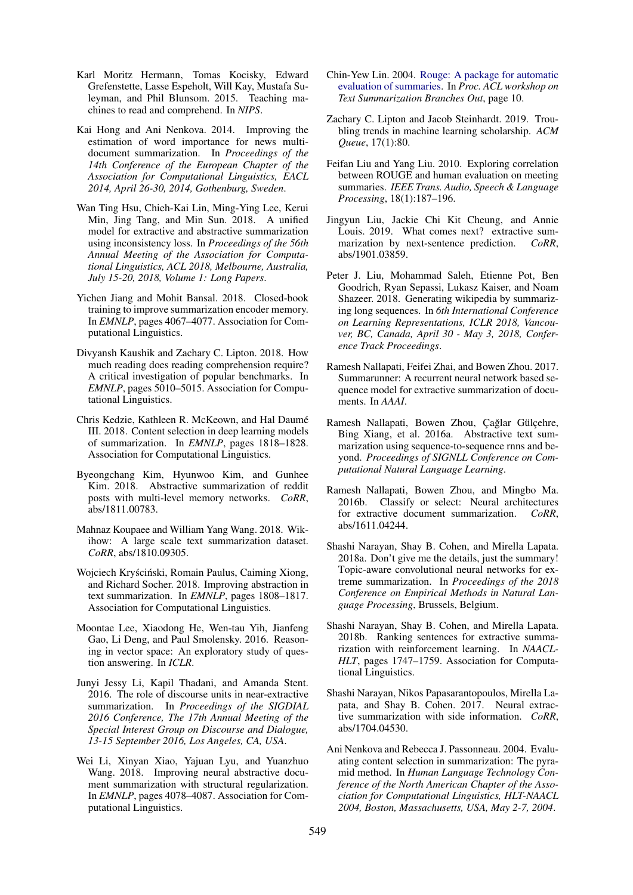- <span id="page-9-9"></span>Karl Moritz Hermann, Tomas Kocisky, Edward Grefenstette, Lasse Espeholt, Will Kay, Mustafa Suleyman, and Phil Blunsom. 2015. Teaching machines to read and comprehend. In *NIPS*.
- <span id="page-9-7"></span>Kai Hong and Ani Nenkova. 2014. Improving the estimation of word importance for news multidocument summarization. In *Proceedings of the 14th Conference of the European Chapter of the Association for Computational Linguistics, EACL 2014, April 26-30, 2014, Gothenburg, Sweden*.
- <span id="page-9-5"></span>Wan Ting Hsu, Chieh-Kai Lin, Ming-Ying Lee, Kerui Min, Jing Tang, and Min Sun. 2018. A unified model for extractive and abstractive summarization using inconsistency loss. In *Proceedings of the 56th Annual Meeting of the Association for Computational Linguistics, ACL 2018, Melbourne, Australia, July 15-20, 2018, Volume 1: Long Papers*.
- <span id="page-9-17"></span>Yichen Jiang and Mohit Bansal. 2018. Closed-book training to improve summarization encoder memory. In *EMNLP*, pages 4067–4077. Association for Computational Linguistics.
- <span id="page-9-21"></span>Divyansh Kaushik and Zachary C. Lipton. 2018. How much reading does reading comprehension require? A critical investigation of popular benchmarks. In *EMNLP*, pages 5010–5015. Association for Computational Linguistics.
- <span id="page-9-18"></span>Chris Kedzie, Kathleen R. McKeown, and Hal Daume´ III. 2018. Content selection in deep learning models of summarization. In *EMNLP*, pages 1818–1828. Association for Computational Linguistics.
- <span id="page-9-11"></span>Byeongchang Kim, Hyunwoo Kim, and Gunhee Kim. 2018. Abstractive summarization of reddit posts with multi-level memory networks. *CoRR*, abs/1811.00783.
- <span id="page-9-12"></span>Mahnaz Koupaee and William Yang Wang. 2018. Wikihow: A large scale text summarization dataset. *CoRR*, abs/1810.09305.
- <span id="page-9-2"></span>Wojciech Kryściński, Romain Paulus, Caiming Xiong, and Richard Socher. 2018. Improving abstraction in text summarization. In *EMNLP*, pages 1808–1817. Association for Computational Linguistics.
- <span id="page-9-20"></span>Moontae Lee, Xiaodong He, Wen-tau Yih, Jianfeng Gao, Li Deng, and Paul Smolensky. 2016. Reasoning in vector space: An exploratory study of question answering. In *ICLR*.
- <span id="page-9-8"></span>Junyi Jessy Li, Kapil Thadani, and Amanda Stent. 2016. The role of discourse units in near-extractive summarization. In *Proceedings of the SIGDIAL 2016 Conference, The 17th Annual Meeting of the Special Interest Group on Discourse and Dialogue, 13-15 September 2016, Los Angeles, CA, USA*.
- <span id="page-9-23"></span>Wei Li, Xinyan Xiao, Yajuan Lyu, and Yuanzhuo Wang. 2018. Improving neural abstractive document summarization with structural regularization. In *EMNLP*, pages 4078–4087. Association for Computational Linguistics.
- <span id="page-9-6"></span>Chin-Yew Lin. 2004. [Rouge: A package for automatic](http://research.microsoft.com/~cyl/download/papers/WAS2004.pdf) [evaluation of summaries.](http://research.microsoft.com/~cyl/download/papers/WAS2004.pdf) In *Proc. ACL workshop on Text Summarization Branches Out*, page 10.
- <span id="page-9-22"></span>Zachary C. Lipton and Jacob Steinhardt. 2019. Troubling trends in machine learning scholarship. *ACM Queue*, 17(1):80.
- <span id="page-9-19"></span>Feifan Liu and Yang Liu. 2010. Exploring correlation between ROUGE and human evaluation on meeting summaries. *IEEE Trans. Audio, Speech & Language Processing*, 18(1):187–196.
- <span id="page-9-16"></span>Jingyun Liu, Jackie Chi Kit Cheung, and Annie Louis. 2019. What comes next? extractive summarization by next-sentence prediction. *CoRR*, abs/1901.03859.
- <span id="page-9-4"></span>Peter J. Liu, Mohammad Saleh, Etienne Pot, Ben Goodrich, Ryan Sepassi, Lukasz Kaiser, and Noam Shazeer. 2018. Generating wikipedia by summarizing long sequences. In *6th International Conference on Learning Representations, ICLR 2018, Vancouver, BC, Canada, April 30 - May 3, 2018, Conference Track Proceedings*.
- <span id="page-9-0"></span>Ramesh Nallapati, Feifei Zhai, and Bowen Zhou. 2017. Summarunner: A recurrent neural network based sequence model for extractive summarization of documents. In *AAAI*.
- <span id="page-9-1"></span>Ramesh Nallapati, Bowen Zhou, Çağlar Gülçehre, Bing Xiang, et al. 2016a. Abstractive text summarization using sequence-to-sequence rnns and beyond. *Proceedings of SIGNLL Conference on Computational Natural Language Learning*.
- <span id="page-9-14"></span>Ramesh Nallapati, Bowen Zhou, and Mingbo Ma. 2016b. Classify or select: Neural architectures for extractive document summarization. *CoRR*, abs/1611.04244.
- <span id="page-9-10"></span>Shashi Narayan, Shay B. Cohen, and Mirella Lapata. 2018a. Don't give me the details, just the summary! Topic-aware convolutional neural networks for extreme summarization. In *Proceedings of the 2018 Conference on Empirical Methods in Natural Language Processing*, Brussels, Belgium.
- <span id="page-9-3"></span>Shashi Narayan, Shay B. Cohen, and Mirella Lapata. 2018b. Ranking sentences for extractive summarization with reinforcement learning. In *NAACL-HLT*, pages 1747–1759. Association for Computational Linguistics.
- <span id="page-9-15"></span>Shashi Narayan, Nikos Papasarantopoulos, Mirella Lapata, and Shay B. Cohen. 2017. Neural extractive summarization with side information. *CoRR*, abs/1704.04530.
- <span id="page-9-13"></span>Ani Nenkova and Rebecca J. Passonneau. 2004. Evaluating content selection in summarization: The pyramid method. In *Human Language Technology Conference of the North American Chapter of the Association for Computational Linguistics, HLT-NAACL 2004, Boston, Massachusetts, USA, May 2-7, 2004*.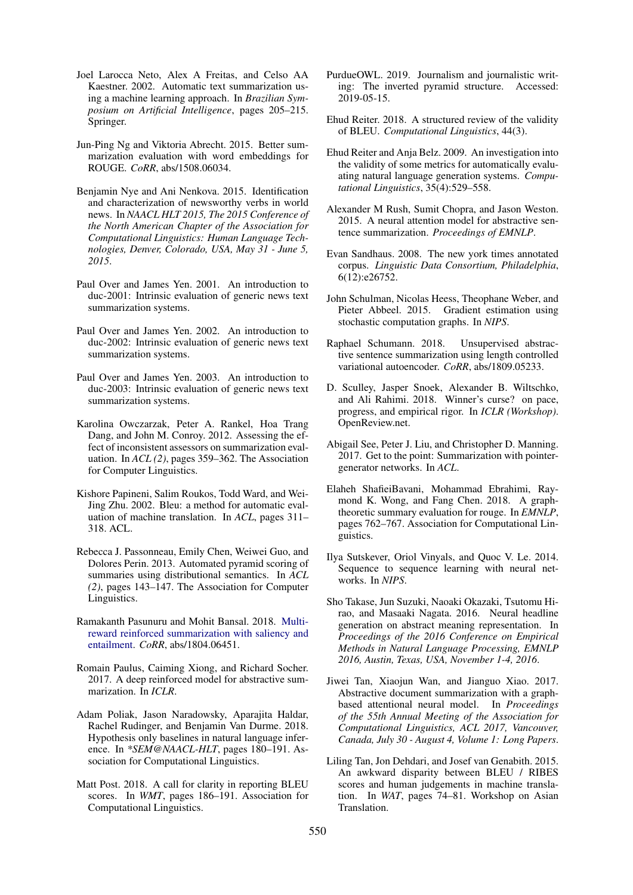- <span id="page-10-12"></span>Joel Larocca Neto, Alex A Freitas, and Celso AA Kaestner. 2002. Automatic text summarization using a machine learning approach. In *Brazilian Symposium on Artificial Intelligence*, pages 205–215. Springer.
- <span id="page-10-10"></span>Jun-Ping Ng and Viktoria Abrecht. 2015. Better summarization evaluation with word embeddings for ROUGE. *CoRR*, abs/1508.06034.
- <span id="page-10-8"></span>Benjamin Nye and Ani Nenkova. 2015. Identification and characterization of newsworthy verbs in world news. In *NAACL HLT 2015, The 2015 Conference of the North American Chapter of the Association for Computational Linguistics: Human Language Technologies, Denver, Colorado, USA, May 31 - June 5, 2015*.
- <span id="page-10-24"></span>Paul Over and James Yen. 2001. An introduction to duc-2001: Intrinsic evaluation of generic news text summarization systems.
- <span id="page-10-25"></span>Paul Over and James Yen. 2002. An introduction to duc-2002: Intrinsic evaluation of generic news text summarization systems.
- <span id="page-10-26"></span>Paul Over and James Yen. 2003. An introduction to duc-2003: Intrinsic evaluation of generic news text summarization systems.
- <span id="page-10-14"></span>Karolina Owczarzak, Peter A. Rankel, Hoa Trang Dang, and John M. Conroy. 2012. Assessing the effect of inconsistent assessors on summarization evaluation. In *ACL (2)*, pages 359–362. The Association for Computer Linguistics.
- <span id="page-10-15"></span>Kishore Papineni, Salim Roukos, Todd Ward, and Wei-Jing Zhu. 2002. Bleu: a method for automatic evaluation of machine translation. In *ACL*, pages 311– 318. ACL.
- <span id="page-10-9"></span>Rebecca J. Passonneau, Emily Chen, Weiwei Guo, and Dolores Perin. 2013. Automated pyramid scoring of summaries using distributional semantics. In *ACL (2)*, pages 143–147. The Association for Computer Linguistics.
- <span id="page-10-5"></span>Ramakanth Pasunuru and Mohit Bansal. 2018. [Multi](http://arxiv.org/abs/1804.06451)[reward reinforced summarization with saliency and](http://arxiv.org/abs/1804.06451) [entailment.](http://arxiv.org/abs/1804.06451) *CoRR*, abs/1804.06451.
- <span id="page-10-6"></span>Romain Paulus, Caiming Xiong, and Richard Socher. 2017. A deep reinforced model for abstractive summarization. In *ICLR*.
- <span id="page-10-21"></span>Adam Poliak, Jason Naradowsky, Aparajita Haldar, Rachel Rudinger, and Benjamin Van Durme. 2018. Hypothesis only baselines in natural language inference. In *\*SEM@NAACL-HLT*, pages 180–191. Association for Computational Linguistics.
- <span id="page-10-18"></span>Matt Post. 2018. A call for clarity in reporting BLEU scores. In *WMT*, pages 186–191. Association for Computational Linguistics.
- <span id="page-10-23"></span>PurdueOWL. 2019. Journalism and journalistic writing: The inverted pyramid structure. Accessed: 2019-05-15.
- <span id="page-10-20"></span>Ehud Reiter. 2018. A structured review of the validity of BLEU. *Computational Linguistics*, 44(3).
- <span id="page-10-19"></span>Ehud Reiter and Anja Belz. 2009. An investigation into the validity of some metrics for automatically evaluating natural language generation systems. *Computational Linguistics*, 35(4):529–558.
- <span id="page-10-0"></span>Alexander M Rush, Sumit Chopra, and Jason Weston. 2015. A neural attention model for abstractive sentence summarization. *Proceedings of EMNLP*.
- <span id="page-10-3"></span>Evan Sandhaus. 2008. The new york times annotated corpus. *Linguistic Data Consortium, Philadelphia*, 6(12):e26752.
- <span id="page-10-16"></span>John Schulman, Nicolas Heess, Theophane Weber, and Pieter Abbeel. 2015. Gradient estimation using stochastic computation graphs. In *NIPS*.
- <span id="page-10-13"></span>Raphael Schumann. 2018. Unsupervised abstractive sentence summarization using length controlled variational autoencoder. *CoRR*, abs/1809.05233.
- <span id="page-10-22"></span>D. Sculley, Jasper Snoek, Alexander B. Wiltschko, and Ali Rahimi. 2018. Winner's curse? on pace, progress, and empirical rigor. In *ICLR (Workshop)*. OpenReview.net.
- <span id="page-10-1"></span>Abigail See, Peter J. Liu, and Christopher D. Manning. 2017. Get to the point: Summarization with pointergenerator networks. In *ACL*.
- <span id="page-10-11"></span>Elaheh ShafieiBavani, Mohammad Ebrahimi, Raymond K. Wong, and Fang Chen. 2018. A graphtheoretic summary evaluation for rouge. In *EMNLP*, pages 762–767. Association for Computational Linguistics.
- <span id="page-10-2"></span>Ilya Sutskever, Oriol Vinyals, and Quoc V. Le. 2014. Sequence to sequence learning with neural networks. In *NIPS*.
- <span id="page-10-7"></span>Sho Takase, Jun Suzuki, Naoaki Okazaki, Tsutomu Hirao, and Masaaki Nagata. 2016. Neural headline generation on abstract meaning representation. In *Proceedings of the 2016 Conference on Empirical Methods in Natural Language Processing, EMNLP 2016, Austin, Texas, USA, November 1-4, 2016*.
- <span id="page-10-4"></span>Jiwei Tan, Xiaojun Wan, and Jianguo Xiao. 2017. Abstractive document summarization with a graphbased attentional neural model. In *Proceedings of the 55th Annual Meeting of the Association for Computational Linguistics, ACL 2017, Vancouver, Canada, July 30 - August 4, Volume 1: Long Papers*.
- <span id="page-10-17"></span>Liling Tan, Jon Dehdari, and Josef van Genabith. 2015. An awkward disparity between BLEU / RIBES scores and human judgements in machine translation. In *WAT*, pages 74–81. Workshop on Asian Translation.